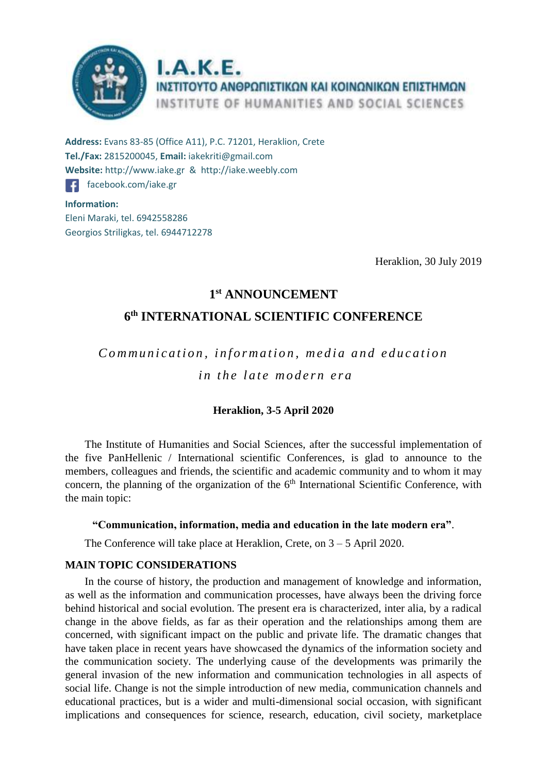

**Address:** Evans 83-85 (Office Α11), P.C. 71201, Heraklion, Crete **Tel./Fax:** 2815200045, **Email:** iakekriti@gmail.com **Website:** http://www.iake.gr & http://iake.weebly.com [facebook.com/iake.gr](https://www.fb.com/iake.gr) **Information:**  Eleni Maraki, tel. 6942558286 Georgios Striligkas, tel. 6944712278

Heraklion, 30 July 2019

# **1 st ANNOUNCEMENT**

# **6 th INTERNATIONAL SCIENTIFIC CONFERENCE**

*C o m m u n i c a t i o n , i n f o r m a t i o n , m e d i a and e d u c a t i o n in the late modern era* 

# **Heraklion, 3-5 April 2020**

The Institute of Humanities and Social Sciences, after the successful implementation of the five PanHellenic / International scientific Conferences, is glad to announce to the members, colleagues and friends, the scientific and academic community and to whom it may concern, the planning of the organization of the  $6<sup>th</sup>$  International Scientific Conference, with the main topic:

## **"Communication, information, media and education in the late modern era"**.

The Conference will take place at Heraklion, Crete, on 3 – 5 April 2020.

# **MAIN TOPIC CONSIDERATIONS**

In the course of history, the production and management of knowledge and information, as well as the information and communication processes, have always been the driving force behind historical and social evolution. The present era is characterized, inter alia, by a radical change in the above fields, as far as their operation and the relationships among them are concerned, with significant impact on the public and private life. The dramatic changes that have taken place in recent years have showcased the dynamics of the information society and the communication society. The underlying cause of the developments was primarily the general invasion of the new information and communication technologies in all aspects of social life. Change is not the simple introduction of new media, communication channels and educational practices, but is a wider and multi-dimensional social occasion, with significant implications and consequences for science, research, education, civil society, marketplace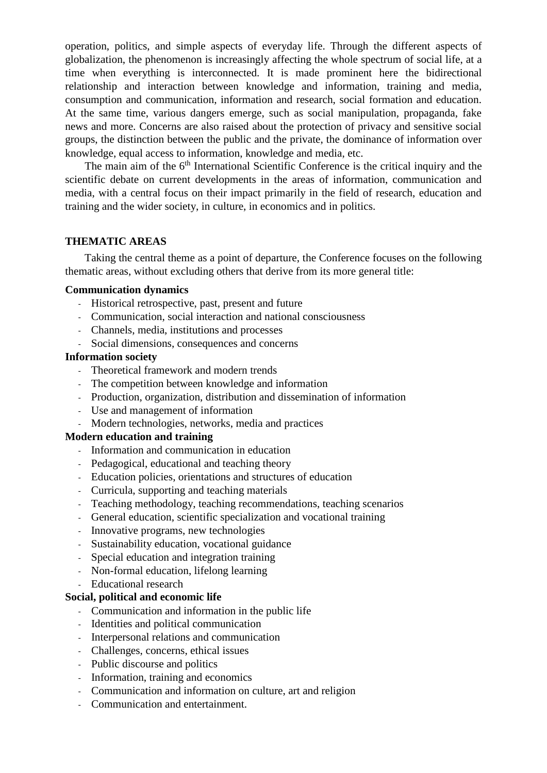operation, politics, and simple aspects of everyday life. Through the different aspects of globalization, the phenomenon is increasingly affecting the whole spectrum of social life, at a time when everything is interconnected. It is made prominent here the bidirectional relationship and interaction between knowledge and information, training and media, consumption and communication, information and research, social formation and education. At the same time, various dangers emerge, such as social manipulation, propaganda, fake news and more. Concerns are also raised about the protection of privacy and sensitive social groups, the distinction between the public and the private, the dominance of information over knowledge, equal access to information, knowledge and media, etc.

The main aim of the 6<sup>th</sup> International Scientific Conference is the critical inquiry and the scientific debate on current developments in the areas of information, communication and media, with a central focus on their impact primarily in the field of research, education and training and the wider society, in culture, in economics and in politics.

## **THEMATIC AREAS**

Taking the central theme as a point of departure, the Conference focuses on the following thematic areas, without excluding others that derive from its more general title:

#### **Communication dynamics**

- Historical retrospective, past, present and future
- Communication, social interaction and national consciousness
- Channels, media, institutions and processes
- Social dimensions, consequences and concerns

## **Information society**

- Theoretical framework and modern trends
- The competition between knowledge and information
- Production, organization, distribution and dissemination of information
- Use and management of information
- Modern technologies, networks, media and practices

# **Modern education and training**

- Information and communication in education
- Pedagogical, educational and teaching theory
- Education policies, orientations and structures of education
- Curricula, supporting and teaching materials
- Teaching methodology, teaching recommendations, teaching scenarios
- General education, scientific specialization and vocational training
- Innovative programs, new technologies
- Sustainability education, vocational guidance
- Special education and integration training
- Non-formal education, lifelong learning
- Educational research

### **Social, political and economic life**

- Communication and information in the public life
- Identities and political communication
- Interpersonal relations and communication
- Challenges, concerns, ethical issues
- Public discourse and politics
- Information, training and economics
- Communication and information on culture, art and religion
- Communication and entertainment.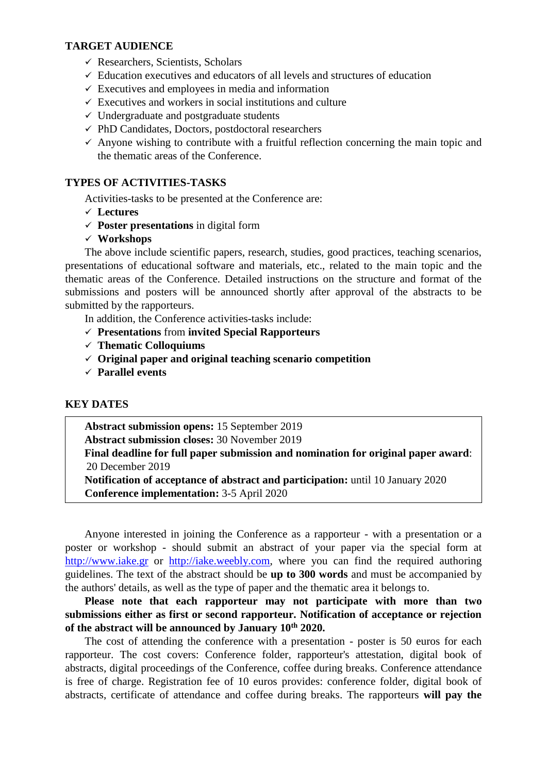## **TARGET AUDIENCE**

- $\checkmark$  Researchers, Scientists, Scholars
- $\checkmark$  Education executives and educators of all levels and structures of education
- $\checkmark$  Executives and employees in media and information
- $\checkmark$  Executives and workers in social institutions and culture
- $\checkmark$  Undergraduate and postgraduate students
- $\checkmark$  PhD Candidates, Doctors, postdoctoral researchers
- $\checkmark$  Anyone wishing to contribute with a fruitful reflection concerning the main topic and the thematic areas of the Conference.

## **TYPES OF ACTIVITIES-TASKS**

Activities-tasks to be presented at the Conference are:

- **Lectures**
- **Poster presentations** in digital form
- **Workshops**

The above include scientific papers, research, studies, good practices, teaching scenarios, presentations of educational software and materials, etc., related to the main topic and the thematic areas of the Conference. Detailed instructions on the structure and format of the submissions and posters will be announced shortly after approval of the abstracts to be submitted by the rapporteurs.

In addition, the Conference activities-tasks include:

- **Presentations** from **invited Special Rapporteurs**
- **Thematic Colloquiums**
- **Original paper and original teaching scenario competition**
- **Parallel events**

#### **KEY DATES**

**Abstract submission opens:** 15 September 2019 **Abstract submission closes:** 30 November 2019

**Final deadline for full paper submission and nomination for original paper award**: 20 December 2019

**Notification of acceptance of abstract and participation:** until 10 January 2020 **Conference implementation:** 3-5 April 2020

Anyone interested in joining the Conference as a rapporteur - with a presentation or a poster or workshop - should submit an abstract of your paper via the special form at [http://www.iake.gr](http://www.iake.gr/) or [http://iake.weebly.com,](http://iake.weebly.com/) where you can find the required authoring guidelines. The text of the abstract should be **up to 300 words** and must be accompanied by the authors' details, as well as the type of paper and the thematic area it belongs to.

**Please note that each rapporteur may not participate with more than two submissions either as first or second rapporteur. Notification of acceptance or rejection of the abstract will be announced by January 10th 2020.**

The cost of attending the conference with a presentation - poster is 50 euros for each rapporteur. The cost covers: Conference folder, rapporteur's attestation, digital book of abstracts, digital proceedings of the Conference, coffee during breaks. Conference attendance is free of charge. Registration fee of 10 euros provides: conference folder, digital book of abstracts, certificate of attendance and coffee during breaks. The rapporteurs **will pay the**